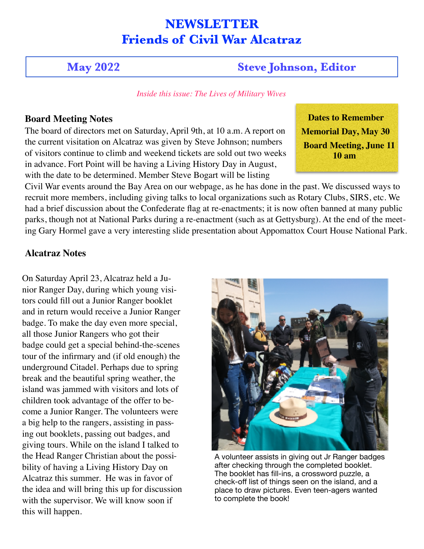# **NEWSLETTER Friends of Civil War Alcatraz**

# **May 2022 Steve Johnson, Editor**

 *Inside this issue: The Lives of Military Wives*

## **Board Meeting Notes**

The board of directors met on Saturday, April 9th, at 10 a.m. A report on the current visitation on Alcatraz was given by Steve Johnson; numbers of visitors continue to climb and weekend tickets are sold out two weeks in advance. Fort Point will be having a Living History Day in August, with the date to be determined. Member Steve Bogart will be listing

 **Dates to Remember Memorial Day, May 30 Board Meeting, June 11 10 am**

Civil War events around the Bay Area on our webpage, as he has done in the past. We discussed ways to recruit more members, including giving talks to local organizations such as Rotary Clubs, SIRS, etc. We had a brief discussion about the Confederate flag at re-enactments; it is now often banned at many public parks, though not at National Parks during a re-enactment (such as at Gettysburg). At the end of the meeting Gary Hormel gave a very interesting slide presentation about Appomattox Court House National Park.

# **Alcatraz Notes**

On Saturday April 23, Alcatraz held a Junior Ranger Day, during which young visitors could fill out a Junior Ranger booklet and in return would receive a Junior Ranger badge. To make the day even more special, all those Junior Rangers who got their badge could get a special behind-the-scenes tour of the infirmary and (if old enough) the underground Citadel. Perhaps due to spring break and the beautiful spring weather, the island was jammed with visitors and lots of children took advantage of the offer to become a Junior Ranger. The volunteers were a big help to the rangers, assisting in passing out booklets, passing out badges, and giving tours. While on the island I talked to the Head Ranger Christian about the possibility of having a Living History Day on Alcatraz this summer. He was in favor of the idea and will bring this up for discussion with the supervisor. We will know soon if this will happen.



A volunteer assists in giving out Jr Ranger badges after checking through the completed booklet. The booklet has fill-ins, a crossword puzzle, a check-off list of things seen on the island, and a place to draw pictures. Even teen-agers wanted to complete the book!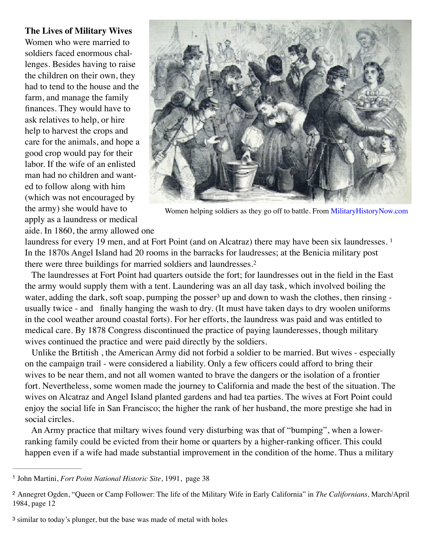#### **The Lives of Military Wives**

Women who were married to soldiers faced enormous challenges. Besides having to raise the children on their own, they had to tend to the house and the farm, and manage the family finances. They would have to ask relatives to help, or hire help to harvest the crops and care for the animals, and hope a good crop would pay for their labor. If the wife of an enlisted man had no children and wanted to follow along with him (which was not encouraged by the army) she would have to apply as a laundress or medical aide. In 1860, the army allowed one

<span id="page-1-3"></span>

Women helping soldiers as they go off to battle. From [MilitaryHistoryNow.com](http://MilitaryHistoryNow.com)

laundress for every [1](#page-1-0)9 men, and at Fort Point (and on Alcatraz) there may have been six laundresses. <sup>1</sup> In the 1870s Angel Island had 20 rooms in the barracks for laudresses; at the Benicia military post there were three buildings for married soldiers and laundresses.[2](#page-1-1)

<span id="page-1-5"></span><span id="page-1-4"></span> The laundresses at Fort Point had quarters outside the fort; for laundresses out in the field in the East the army would supply them with a tent. Laundering was an all day task, which involved boiling the wate[r](#page-1-2), adding the dark, soft soap, pumping the posser<sup>[3](#page-1-2)</sup> up and down to wash the clothes, then rinsing usually twice - and finally hanging the wash to dry. (It must have taken days to dry woolen uniforms in the cool weather around coastal forts). For her efforts, the laundress was paid and was entitled to medical care. By 1878 Congress discontinued the practice of paying launderesses, though military wives continued the practice and were paid directly by the soldiers.

 Unlike the Brtitish , the American Army did not forbid a soldier to be married. But wives - especially on the campaign trail - were considered a liability. Only a few officers could afford to bring their wives to be near them, and not all women wanted to brave the dangers or the isolation of a frontier fort. Nevertheless, some women made the journey to California and made the best of the situation. The wives on Alcatraz and Angel Island planted gardens and had tea parties. The wives at Fort Point could enjoy the social life in San Francisco; the higher the rank of her husband, the more prestige she had in social circles.

 An Army practice that miltary wives found very disturbing was that of "bumping", when a lowerranking family could be evicted from their home or quarters by a higher-ranking officer. This could happen even if a wife had made substantial improvement in the condition of the home. Thus a military

<span id="page-1-0"></span><sup>[1](#page-1-3)</sup> John Martini, *Fort Point National Historic Site*, 1991, page 38

<span id="page-1-1"></span>Annegret Ogden, "Queen or Camp Follower: The life of the Military Wife in Early California" in *The Californians,* March/April [2](#page-1-4) 1984, page 12

<span id="page-1-2"></span>[<sup>3</sup>](#page-1-5) similar to today's plunger, but the base was made of metal with holes